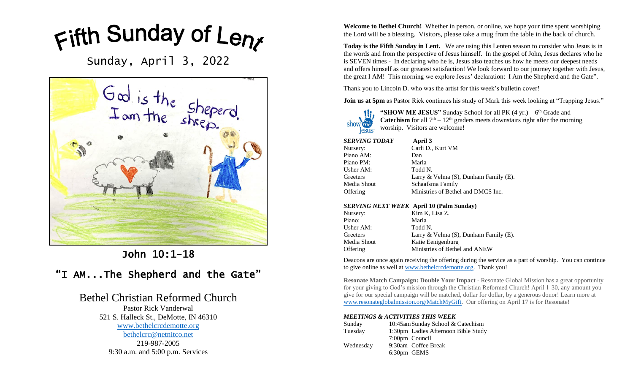Fifth Sunday of Leny

Sunday, April 3, 2022



John 10:1-18

# "I AM...The Shepherd and the Gate"

## Bethel Christian Reformed Church

Pastor Rick Vanderwal 521 S. Halleck St., DeMotte, IN 46310 [www.bethelcrcdemotte.org](http://www.bethelcrcdemotte.org/) [bethelcrc@netnitco.net](mailto:bethelcrc@netnitco.net) 219-987-2005 9:30 a.m. and 5:00 p.m. Services

**Welcome to Bethel Church!** Whether in person, or online, we hope your time spent worshiping the Lord will be a blessing. Visitors, please take a mug from the table in the back of church.

**Today is the Fifth Sunday in Lent.** We are using this Lenten season to consider who Jesus is in the words and from the perspective of Jesus himself. In the gospel of John, Jesus declares who he is SEVEN times - In declaring who he is, Jesus also teaches us how he meets our deepest needs and offers himself as our greatest satisfaction! We look forward to our journey together with Jesus, the great I AM! This morning we explore Jesus' declaration: I Am the Shepherd and the Gate".

Thank you to Lincoln D. who was the artist for this week's bulletin cover!

**Join us at 5pm** as Pastor Rick continues his study of Mark this week looking at "Trapping Jesus."



"SHOW ME JESUS" Sunday School for all PK (4 yr.) – 6<sup>th</sup> Grade and **Catechism** for all  $7<sup>th</sup> - 12<sup>th</sup>$  graders meets downstairs right after the morning worship. Visitors are welcome!

| SERVING TODAY | April 3                                     |
|---------------|---------------------------------------------|
| Nursery:      | Carli D., Kurt VM                           |
| Piano AM:     | Dan                                         |
| Piano PM:     | Marla                                       |
| Usher AM:     | Todd N.                                     |
| Greeters      | Larry & Velma $(S)$ , Dunham Family $(E)$ . |
| Media Shout   | Schaafsma Family                            |
| Offering      | Ministries of Bethel and DMCS Inc.          |

#### *SERVING NEXT WEEK* **April 10 (Palm Sunday)**

| Nursery:    | Kim K, Lisa Z.                              |
|-------------|---------------------------------------------|
| Piano:      | Marla                                       |
| Usher AM:   | Todd N.                                     |
| Greeters    | Larry & Velma $(S)$ , Dunham Family $(E)$ . |
| Media Shout | Katie Eenigenburg                           |
| Offering    | Ministries of Bethel and ANEW               |
|             |                                             |

Deacons are once again receiving the offering during the service as a part of worship. You can continue to give online as well at [www.bethelcrcdemotte.org.](http://www.bethelcrcdemotte.org/) Thank you!

**Resonate Match Campaign: Double Your Impact** - Resonate Global Mission has a great opportunity for your giving to God's mission through the Christian Reformed Church! April 1-30, any amount you give for our special campaign will be matched, dollar for dollar, by a generous donor! Learn more at [www.resonateglobalmission.org/MatchMyGift.](http://www.resonateglobalmission.org/MatchMyGift) Our offering on April 17 is for Resonate!

#### *MEETINGS & ACTIVITIES THIS WEEK*

| Sunday    | 10:45am Sunday School & Catechism   |
|-----------|-------------------------------------|
| Tuesday   | 1:30pm Ladies Afternoon Bible Study |
|           | 7:00pm Council                      |
| Wednesday | 9:30am Coffee Break                 |
|           | 6:30pm GEMS                         |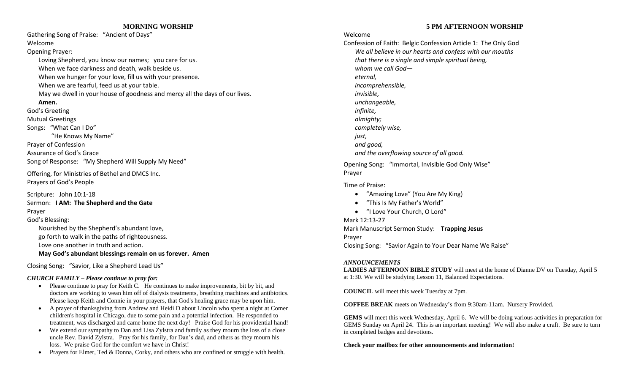#### **MORNING WORSHIP**

Gathering Song of Praise: "Ancient of Days" Welcome

Opening Prayer:

Loving Shepherd, you know our names; you care for us. When we face darkness and death, walk beside us. When we hunger for your love, fill us with your presence. When we are fearful, feed us at your table. May we dwell in your house of goodness and mercy all the days of our lives. **Amen.**

God's Greeting

Mutual Greetings

Songs: "What Can I Do"

"He Knows My Name"

Prayer of Confession

Assurance of God's Grace

Song of Response: "My Shepherd Will Supply My Need"

Offering, for Ministries of Bethel and DMCS Inc. Prayers of God's People

Scripture: John 10:1-18 Sermon: **I AM: The Shepherd and the Gate** Prayer

God's Blessing:

Nourished by the Shepherd's abundant love, go forth to walk in the paths of righteousness. Love one another in truth and action.

**May God's abundant blessings remain on us forever. Amen**

Closing Song: "Savior, Like a Shepherd Lead Us"

#### *CHURCH FAMILY – Please continue to pray for:*

- Please continue to pray for Keith C. He continues to make improvements, bit by bit, and doctors are working to wean him off of dialysis treatments, breathing machines and antibiotics. Please keep Keith and Connie in your prayers, that God's healing grace may be upon him.
- A prayer of thanksgiving from Andrew and Heidi D about Lincoln who spent a night at Comer children's hospital in Chicago, due to some pain and a potential infection. He responded to treatment, was discharged and came home the next day! Praise God for his providential hand!
- We extend our sympathy to Dan and Lisa Zylstra and family as they mourn the loss of a close uncle Rev. David Zylstra. Pray for his family, for Dan's dad, and others as they mourn his loss. We praise God for the comfort we have in Christ!
- Prayers for Elmer, Ted & Donna, Corky, and others who are confined or struggle with health.

#### **5 PM AFTERNOON WORSHIP**

### Welcome

Confession of Faith: Belgic Confession Article 1: The Only God *We all believe in our hearts and confess with our mouths that there is a single and simple spiritual being, whom we call God eternal, incomprehensible, invisible, unchangeable, infinite, almighty; completely wise, just, and good, and the overflowing source of all good.*

Opening Song: "Immortal, Invisible God Only Wise" Prayer

#### Time of Praise:

- "Amazing Love" (You Are My King)
- "This Is My Father's World"
- "I Love Your Church, O Lord"

#### Mark 12:13-27

Mark Manuscript Sermon Study: **Trapping Jesus** Prayer Closing Song: "Savior Again to Your Dear Name We Raise"

#### *ANNOUNCEMENTS*

**LADIES AFTERNOON BIBLE STUDY** will meet at the home of Dianne DV on Tuesday, April 5 at 1:30. We will be studying Lesson 11, Balanced Expectations.

**COUNCIL** will meet this week Tuesday at 7pm.

**COFFEE BREAK** meets on Wednesday's from 9:30am-11am. Nursery Provided.

**GEMS** will meet this week Wednesday, April 6. We will be doing various activities in preparation for GEMS Sunday on April 24. This is an important meeting! We will also make a craft. Be sure to turn in completed badges and devotions.

**Check your mailbox for other announcements and information!**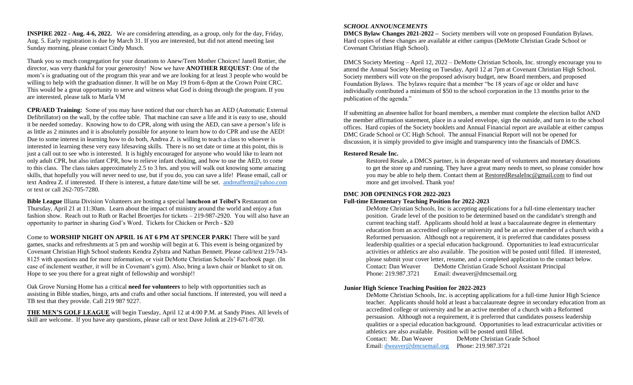**INSPIRE 2022 - Aug. 4-6, 2022.** We are considering attending, as a group, only for the day, Friday, Aug. 5. Early registration is due by March 31. If you are interested, but did not attend meeting last Sunday morning, please contact Cindy Musch.

Thank you so much congregation for your donations to Anew/Teen Mother Choices! Janell Rottier, the director, was very thankful for your generosity! Now we have **ANOTHER REQUEST**: One of the mom's is graduating out of the program this year and we are looking for at least 3 people who would be willing to help with the graduation dinner. It will be on May 19 from 6-8pm at the Crown Point CRC. This would be a great opportunity to serve and witness what God is doing through the program. If you are interested, please talk to Marla VM

**CPR/AED Training:** Some of you may have noticed that our church has an AED (Automatic External Defibrillator) on the wall, by the coffee table. That machine can save a life and it is easy to use, should it be needed someday. Knowing how to do CPR, along with using the AED, can save a person's life is as little as 2 minutes and it is absolutely possible for anyone to learn how to do CPR and use the AED! Due to some interest in learning how to do both, Andrea Z. is willing to teach a class to whoever is interested in learning these very easy lifesaving skills. There is no set date or time at this point, this is just a call out to see who is interested. It is highly encouraged for anyone who would like to learn not only adult CPR, but also infant CPR, how to relieve infant choking, and how to use the AED, to come to this class. The class takes approximately 2.5 to 3 hrs. and you will walk out knowing some amazing skills, that hopefully you will never need to use, but if you do, you can save a life! Please email, call or text Andrea Z. if interested. If there is interest, a future date/time will be set. [andreaffemt@yahoo.com](mailto:andreaffemt@yahoo.com) or text or call 262-705-7280.

**Bible League** Illiana Division Volunteers are hosting a special l**uncheon at Teibel's** Restaurant on Thursday, April 21 at 11:30am. Learn about the impact of ministry around the world and enjoy a fun fashion show. Reach out to Ruth or Rachel Broertjes for tickets – 219-987-2920. You will also have an opportunity to partner in sharing God's Word. Tickets for Chicken or Perch - \$20

Come to **WORSHIP NIGHT ON APRIL 16 AT 6 PM AT SPENCER PARK!** There will be yard games, snacks and refreshments at 5 pm and worship will begin at 6. This event is being organized by Covenant Christian High School students Kendra Zylstra and Nathan Bennett. Please call/text 219-743- 8125 with questions and for more information, or visit DeMotte Christian Schools' Facebook page. (In case of inclement weather, it will be in Covenant's gym). Also, bring a lawn chair or blanket to sit on. Hope to see you there for a great night of fellowship and worship!!

Oak Grove Nursing Home has a critical **need for volunteers** to help with opportunities such as assisting in Bible studies, bingo, arts and crafts and other social functions. If interested, you will need a TB test that they provide. Call 219 987 9227.

**THE MEN'S GOLF LEAGUE** will begin Tuesday, April 12 at 4:00 P.M. at Sandy Pines. All levels of skill are welcome. If you have any questions, please call or text Dave Jolink at 219-671-0730.

#### *SCHOOL ANNOUNCEMENTS*

**DMCS Bylaw Changes 2021-2022 –** Society members will vote on proposed Foundation Bylaws. Hard copies of these changes are available at either campus (DeMotte Christian Grade School or Covenant Christian High School).

DMCS Society Meeting – April 12, 2022 – DeMotte Christian Schools, Inc. strongly encourage you to attend the Annual Society Meeting on Tuesday, April 12 at 7pm at Covenant Christian High School. Society members will vote on the proposed advisory budget, new Board members, and proposed Foundation Bylaws. The bylaws require that a member "be 18 years of age or older and have individually contributed a minimum of \$50 to the school corporation in the 13 months prior to the publication of the agenda."

If submitting an absentee ballot for board members, a member must complete the election ballot AND the member affirmation statement, place in a sealed envelope, sign the outside, and turn in to the school offices. Hard copies of the Society booklets and Annual Financial report are available at either campus DMC Grade School or CC High School. The annual Financial Report will not be opened for discussion, it is simply provided to give insight and transparency into the financials of DMCS.

#### **Restored Resale Inc.**

Restored Resale, a DMCS partner, is in desperate need of volunteers and monetary donations to get the store up and running. They have a great many needs to meet, so please consider how you may be able to help them. Contact them at [RestoredResaleInc@gmail.com](mailto:RestoredResaleInc@gmail.com) to find out more and get involved. Thank you!

#### **DMC JOB OPENINGS FOR 2022-2023**

#### **Full-time Elementary Teaching Position for 2022-2023**

DeMotte Christian Schools, Inc is accepting applications for a full-time elementary teacher position. Grade level of the position to be determined based on the candidate's strength and current teaching staff. Applicants should hold at least a baccalaureate degree in elementary education from an accredited college or university and be an active member of a church with a Reformed persuasion. Although not a requirement, it is preferred that candidates possess leadership qualities or a special education background. Opportunities to lead extracurricular activities or athletics are also available. The position will be posted until filled. If interested, please submit your cover letter, resume, and a completed application to the contact below. Contact: Dan Weaver DeMotte Christian Grade School Assistant Principal Phone: 219.987.3721 Email: dweaver@dmcsemail.org

#### **Junior High Science Teaching Position for 2022-2023**

DeMotte Christian Schools, Inc. is accepting applications for a full-time Junior High Science teacher. Applicants should hold at least a baccalaureate degree in secondary education from an accredited college or university and be an active member of a church with a Reformed persuasion. Although not a requirement, it is preferred that candidates possess leadership qualities or a special education background. Opportunities to lead extracurricular activities or athletics are also available. Position will be posted until filled.

Contact: Mr. Dan Weaver DeMotte Christian Grade School Email: [dweaver@dmcsemail.org](mailto:dweaver@dmcsemail.org) Phone: 219.987.3721